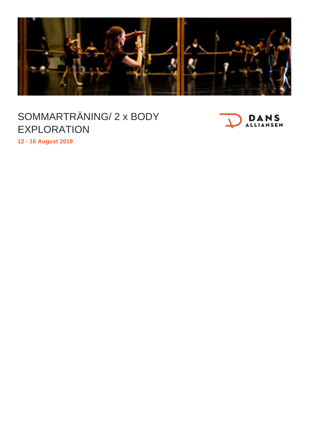

## SOMMARTRÄNING/ 2 x BODY EXPLORATION



**12 - 16 August 2019**